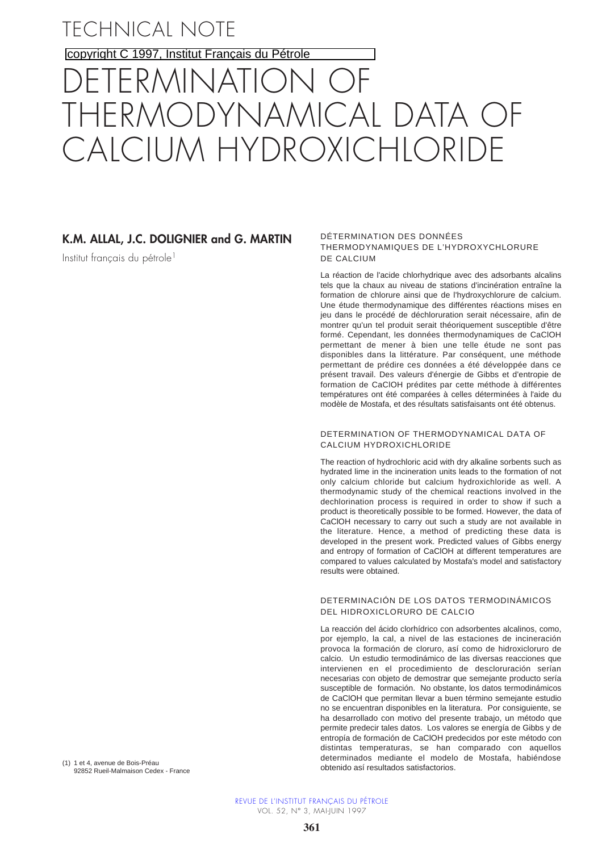TECHNICAL NOTE

copyright C 1997, [Institut Français du Pétrole](http://www.ifp.fr/)

# ERMINATION THERMODYNAMICAL DATA OF CALCIUM HYDROXICHLORIDE

# **K.M. ALLAL, J.C. DOLIGNIER and G. MARTIN**

Institut français du pétrole<sup>1</sup>

#### DÉTERMINATION DES DONNÉES THERMODYNAMIQUES DE L'HYDROXYCHLORURE DE CALCIUM

La réaction de l'acide chlorhydrique avec des adsorbants alcalins tels que la chaux au niveau de stations d'incinération entraîne la formation de chlorure ainsi que de l'hydroxychlorure de calcium. Une étude thermodynamique des différentes réactions mises en jeu dans le procédé de déchloruration serait nécessaire, afin de montrer qu'un tel produit serait théoriquement susceptible d'être formé. Cependant, les données thermodynamiques de CaClOH permettant de mener à bien une telle étude ne sont pas disponibles dans la littérature. Par conséquent, une méthode permettant de prédire ces données a été développée dans ce présent travail. Des valeurs d'énergie de Gibbs et d'entropie de formation de CaClOH prédites par cette méthode à différentes températures ont été comparées à celles déterminées à l'aide du modèle de Mostafa, et des résultats satisfaisants ont été obtenus.

## DETERMINATION OF THERMODYNAMICAL DATA OF CALCIUM HYDROXICHLORIDE

The reaction of hydrochloric acid with dry alkaline sorbents such as hydrated lime in the incineration units leads to the formation of not only calcium chloride but calcium hydroxichloride as well. A thermodynamic study of the chemical reactions involved in the dechlorination process is required in order to show if such a product is theoretically possible to be formed. However, the data of CaClOH necessary to carry out such a study are not available in the literature. Hence, a method of predicting these data is developed in the present work. Predicted values of Gibbs energy and entropy of formation of CaClOH at different temperatures are compared to values calculated by Mostafa's model and satisfactory results were obtained.

#### DETERMINACIÓN DE LOS DATOS TERMODINÁMICOS DEL HIDROXICLORURO DE CALCIO

La reacción del ácido clorhídrico con adsorbentes alcalinos, como, por ejemplo, la cal, a nivel de las estaciones de incineración provoca la formación de cloruro, así como de hidroxicloruro de calcio. Un estudio termodinámico de las diversas reacciones que intervienen en el procedimiento de descloruración serían necesarias con objeto de demostrar que semejante producto sería susceptible de formación. No obstante, los datos termodinámicos de CaClOH que permitan llevar a buen término semejante estudio no se encuentran disponibles en la literatura. Por consiguiente, se ha desarrollado con motivo del presente trabajo, un método que permite predecir tales datos. Los valores se energía de Gibbs y de entropía de formación de CaClOH predecidos por este método con distintas temperaturas, se han comparado con aquellos determinados mediante el modelo de Mostafa, habiéndose obtenido así resultados satisfactorios.

(1) 1 et 4, avenue de Bois-Préau 92852 Rueil-Malmaison Cedex - France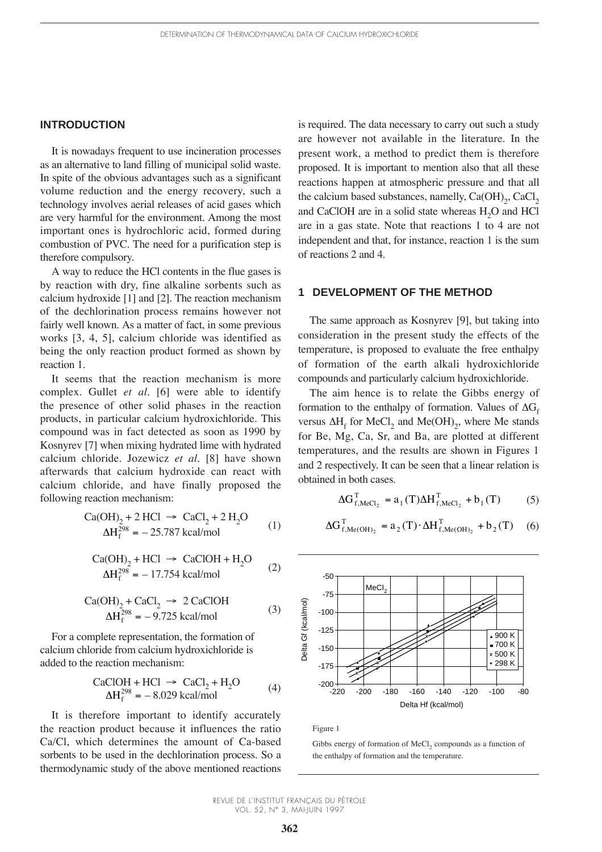# **INTRODUCTION**

It is nowadays frequent to use incineration processes as an alternative to land filling of municipal solid waste. In spite of the obvious advantages such as a significant volume reduction and the energy recovery, such a technology involves aerial releases of acid gases which are very harmful for the environment. Among the most important ones is hydrochloric acid, formed during combustion of PVC. The need for a purification step is therefore compulsory.

A way to reduce the HCl contents in the flue gases is by reaction with dry, fine alkaline sorbents such as calcium hydroxide [1] and [2]. The reaction mechanism of the dechlorination process remains however not fairly well known. As a matter of fact, in some previous works [3, 4, 5], calcium chloride was identified as being the only reaction product formed as shown by reaction 1.

It seems that the reaction mechanism is more complex. Gullet *et al.* [6] were able to identify the presence of other solid phases in the reaction products, in particular calcium hydroxichloride. This compound was in fact detected as soon as 1990 by Kosnyrev [7] when mixing hydrated lime with hydrated calcium chloride. Jozewicz *et al.* [8] have shown afterwards that calcium hydroxide can react with calcium chloride, and have finally proposed the following reaction mechanism:

Ca(OH)2 + 2 HCl ® CaCl2 + 2 H2O – 25.787 kcal/mol (1) DHf <sup>298</sup> =

$$
Ca(OH)2 + HCl \rightarrow CaClOH + H2O
$$
  
\n
$$
\Delta Hf298 = -17.754 \text{ kcal/mol}
$$
 (2)

$$
Ca(OH)2 + CaCl2 \rightarrow 2 CaClOH
$$
  
\n
$$
\Delta Hf298 = -9.725 kcal/mol
$$
 (3)

For a complete representation, the formation of calcium chloride from calcium hydroxichloride is added to the reaction mechanism:

$$
CaClOH + HCl \rightarrow CaCl2 + H2O
$$
  
\n
$$
\Delta H_f^{298} = -8.029 \text{ kcal/mol}
$$
 (4)

It is therefore important to identify accurately the reaction product because it influences the ratio Ca/Cl, which determines the amount of Ca-based sorbents to be used in the dechlorination process. So a thermodynamic study of the above mentioned reactions is required. The data necessary to carry out such a study are however not available in the literature. In the present work, a method to predict them is therefore proposed. It is important to mention also that all these reactions happen at atmospheric pressure and that all the calcium based substances, namelly,  $Ca(OH)_{2}$ ,  $CaCl_{2}$ and CaClOH are in a solid state whereas H<sub>2</sub>O and HCl are in a gas state. Note that reactions 1 to 4 are not independent and that, for instance, reaction 1 is the sum of reactions 2 and 4.

# **1 DEVELOPMENT OF THE METHOD**

The same approach as Kosnyrev [9], but taking into consideration in the present study the effects of the temperature, is proposed to evaluate the free enthalpy of formation of the earth alkali hydroxichloride compounds and particularly calcium hydroxichloride.

The aim hence is to relate the Gibbs energy of formation to the enthalpy of formation. Values of  $\Delta G_f$ versus  $\Delta H_f$  for MeCl<sub>2</sub> and Me(OH)<sub>2</sub>, where Me stands for Be, Mg, Ca, Sr, and Ba, are plotted at different temperatures, and the results are shown in Figures 1 and 2 respectively. It can be seen that a linear relation is obtained in both cases.

$$
\Delta G_{f, \text{MeCl}_2}^{\text{T}} = a_1(\text{T})\Delta H_{f, \text{MeCl}_2}^{\text{T}} + b_1(\text{T}) \tag{5}
$$

$$
\Delta G_{f, \text{Me}(\text{OH})_2}^{\text{T}} = a_2(\text{T}) \cdot \Delta H_{f, \text{Me}(\text{OH})_2}^{\text{T}} + b_2(\text{T}) \quad (6)
$$



Figure 1

Gibbs energy of formation of MeCl<sub>2</sub> compounds as a function of the enthalpy of formation and the temperature.

REVUE DE L'INSTITUT FRANÇAIS DU PÉTROLE VOL. 52, N° 3, MAI-JUIN 1997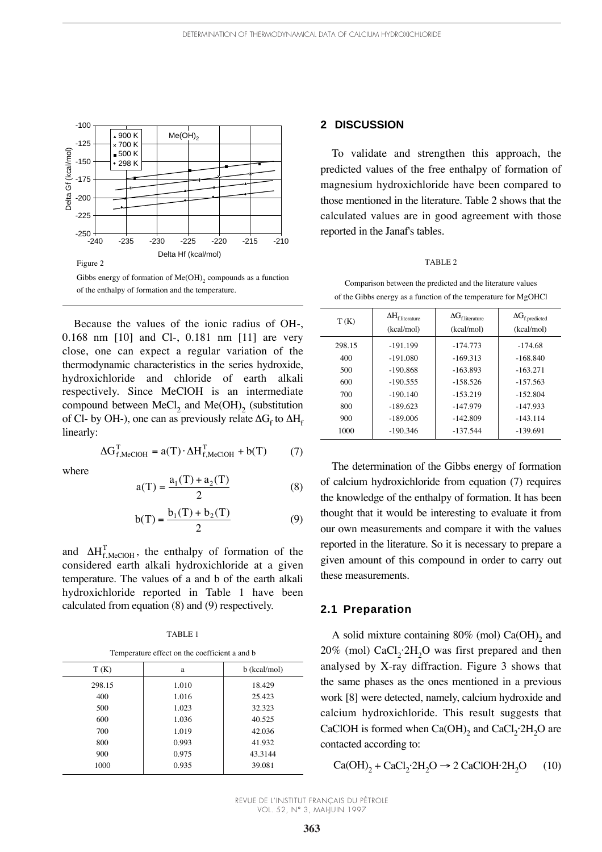

Because the values of the ionic radius of OH-, 0.168 nm [10] and Cl-, 0.181 nm [11] are very close, one can expect a regular variation of the thermodynamic characteristics in the series hydroxide, hydroxichloride and chloride of earth alkali respectively. Since MeClOH is an intermediate compound between MeCl<sub>2</sub> and Me $(OH)$ <sub>2</sub> (substitution of Cl- by OH-), one can as previously relate  $\Delta G_f$  to  $\Delta H_f$ linearly:

$$
\Delta G_{f, \text{MeClOH}}^{\text{T}} = a(\text{T}) \cdot \Delta H_{f, \text{MeClOH}}^{\text{T}} + b(\text{T}) \tag{7}
$$

where

$$
a(T) = \frac{a_1(T) + a_2(T)}{2}
$$
 (8)

$$
b(T) = \frac{b_1(T) + b_2(T)}{2}
$$
 (9)

and  $\Delta H_{f, \text{MeClOH}}^T$ , the enthalpy of formation of the considered earth alkali hydroxichloride at a given temperature. The values of a and b of the earth alkali hydroxichloride reported in Table 1 have been calculated from equation (8) and (9) respectively.

TABLE 1

| Temperature effect on the coefficient a and b |  |
|-----------------------------------------------|--|
|-----------------------------------------------|--|

| T(K)   | a     | b (kcal/mol) |
|--------|-------|--------------|
| 298.15 | 1.010 | 18.429       |
| 400    | 1.016 | 25.423       |
| 500    | 1.023 | 32.323       |
| 600    | 1.036 | 40.525       |
| 700    | 1.019 | 42.036       |
| 800    | 0.993 | 41.932       |
| 900    | 0.975 | 43.3144      |
| 1000   | 0.935 | 39.081       |

## **2 DISCUSSION**

To validate and strengthen this approach, the predicted values of the free enthalpy of formation of magnesium hydroxichloride have been compared to those mentioned in the literature. Table 2 shows that the calculated values are in good agreement with those reported in the Janaf's tables.

#### TABLE 2

Comparison between the predicted and the literature values of the Gibbs energy as a function of the temperature for MgOHCl

| T(K)   | $\Delta H_{\rm f.literature}$<br>(kcal/mol) | $\Delta G_{\rm f.literature}$<br>(kcal/mol) | $\Delta G_{f, predicted}$<br>(kcal/mol) |
|--------|---------------------------------------------|---------------------------------------------|-----------------------------------------|
| 298.15 | $-191.199$                                  | $-174.773$                                  | $-174.68$                               |
| 400    | $-191.080$                                  | $-169.313$                                  | $-168.840$                              |
| 500    | $-190.868$                                  | $-163.893$                                  | $-163.271$                              |
| 600    | $-190.555$                                  | $-158.526$                                  | $-157.563$                              |
| 700    | $-190.140$                                  | $-153.219$                                  | $-152.804$                              |
| 800    | $-189.623$                                  | $-147.979$                                  | $-147.933$                              |
| 900    | $-189.006$                                  | $-142.809$                                  | $-143.114$                              |
| 1000   | $-190.346$                                  | $-137.544$                                  | $-139.691$                              |
|        |                                             |                                             |                                         |

The determination of the Gibbs energy of formation of calcium hydroxichloride from equation (7) requires the knowledge of the enthalpy of formation. It has been thought that it would be interesting to evaluate it from our own measurements and compare it with the values reported in the literature. So it is necessary to prepare a given amount of this compound in order to carry out these measurements.

# **2.1 Preparation**

A solid mixture containing  $80\%$  (mol) Ca(OH)<sub>2</sub> and  $20\%$  (mol) CaCl<sub>2</sub>·2H<sub>2</sub>O was first prepared and then analysed by X-ray diffraction. Figure 3 shows that the same phases as the ones mentioned in a previous work [8] were detected, namely, calcium hydroxide and calcium hydroxichloride. This result suggests that CaClOH is formed when Ca(OH)<sub>2</sub> and CaCl<sub>2</sub>·2H<sub>2</sub>O are contacted according to:

$$
\text{Ca(OH)}_2 + \text{CaCl}_2 \cdot 2\text{H}_2\text{O} \rightarrow 2 \text{ CaClOH} \cdot 2\text{H}_2\text{O} \tag{10}
$$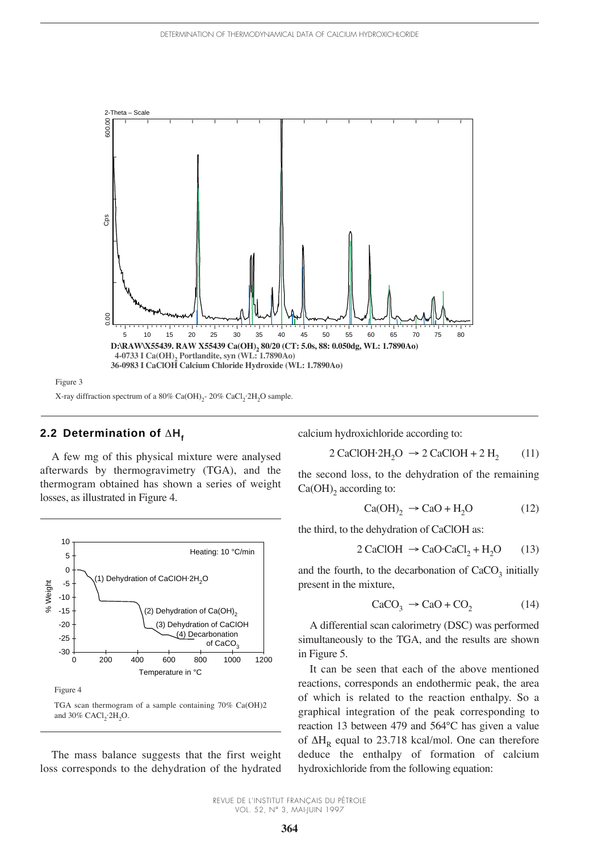

# **2.2 Determination of**  $\Delta H_f$

A few mg of this physical mixture were analysed afterwards by thermogravimetry (TGA), and the thermogram obtained has shown a series of weight losses, as illustrated in Figure 4.



The mass balance suggests that the first weight loss corresponds to the dehydration of the hydrated calcium hydroxichloride according to:

$$
2 \text{ CaClOH} \cdot 2\text{H}_2\text{O} \rightarrow 2 \text{ CaClOH} + 2 \text{H}_2 \tag{11}
$$

the second loss, to the dehydration of the remaining  $Ca(OH)$ <sub>2</sub> according to:

$$
Ca(OH)_2 \rightarrow CaO + H_2O \tag{12}
$$

the third, to the dehydration of CaClOH as:

$$
2 CaClOH \rightarrow CaO \cdot CaCl_2 + H_2O \qquad (13)
$$

and the fourth, to the decarbonation of  $CaCO<sub>2</sub>$  initially present in the mixture,

$$
\text{CaCO}_3 \rightarrow \text{CaO} + \text{CO}_2 \tag{14}
$$

A differential scan calorimetry (DSC) was performed simultaneously to the TGA, and the results are shown in Figure 5.

It can be seen that each of the above mentioned reactions, corresponds an endothermic peak, the area of which is related to the reaction enthalpy. So a graphical integration of the peak corresponding to reaction 13 between 479 and 564°C has given a value of  $\Delta H_p$  equal to 23.718 kcal/mol. One can therefore deduce the enthalpy of formation of calcium hydroxichloride from the following equation: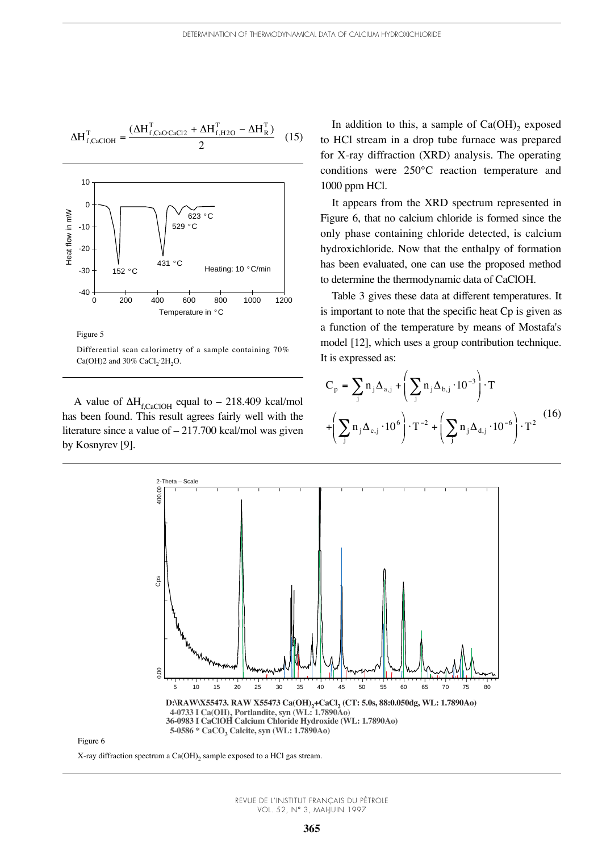$$
\Delta H_{f, CaClOH}^{\mathrm{T}} = \frac{(\Delta H_{f, CaO\text{-}CaCl2}^{\mathrm{T}} + \Delta H_{f,H2O}^{\mathrm{T}} - \Delta H_{R}^{\mathrm{T}})}{2}
$$
 (15)



Figure 5

Differential scan calorimetry of a sample containing 70%  $Ca(OH)2$  and 30%  $CaCl<sub>2</sub>·2H<sub>2</sub>O$ .

A value of  $\Delta H_{fCaClOH}$  equal to – 218.409 kcal/mol has been found. This result agrees fairly well with the literature since a value of  $-217.700$  kcal/mol was given by Kosnyrev [9].

In addition to this, a sample of  $Ca(OH)_{2}$  exposed to HCl stream in a drop tube furnace was prepared for X-ray diffraction (XRD) analysis. The operating conditions were 250°C reaction temperature and 1000 ppm HCl.

It appears from the XRD spectrum represented in Figure 6, that no calcium chloride is formed since the only phase containing chloride detected, is calcium hydroxichloride. Now that the enthalpy of formation has been evaluated, one can use the proposed method to determine the thermodynamic data of CaClOH.

Table 3 gives these data at different temperatures. It is important to note that the specific heat Cp is given as a function of the temperature by means of Mostafa's model [12], which uses a group contribution technique. It is expressed as:

$$
C_p = \sum_{j} n_j \Delta_{a,j} + \left(\sum_{j} n_j \Delta_{b,j} \cdot 10^{-3}\right) \cdot T
$$
  
+ 
$$
\left(\sum_{j} n_j \Delta_{c,j} \cdot 10^{6}\right) \cdot T^{-2} + \left(\sum_{j} n_j \Delta_{d,j} \cdot 10^{-6}\right) \cdot T^2
$$
 (16)



Figure 6

X-ray diffraction spectrum a  $Ca(OH)_{2}$  sample exposed to a HCl gas stream.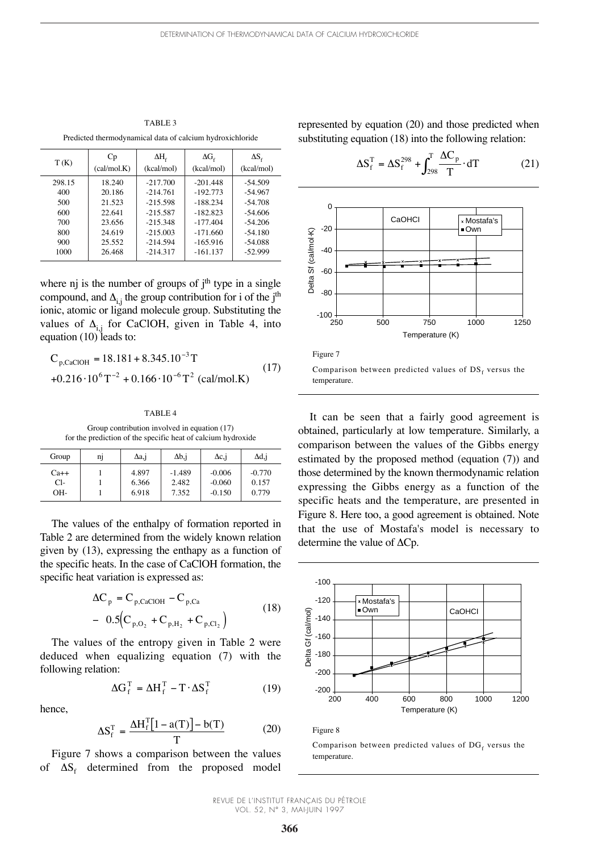TABLE 3 Predicted thermodynamical data of calcium hydroxichloride

| T(K)   | Cp<br>(cal/mol.K) | $\Delta H_{\rm c}$<br>(kcal/mol) | $\Delta G_{\rm f}$<br>(kcal/mol) | $\Delta S_{\rm r}$<br>(kcal/mol) |
|--------|-------------------|----------------------------------|----------------------------------|----------------------------------|
| 298.15 | 18.240            | $-217.700$                       | $-201.448$                       | $-54.509$                        |
| 400    | 20.186            | $-214.761$                       | $-192.773$                       | $-54.967$                        |
| 500    | 21.523            | $-215.598$                       | $-188.234$                       | $-54.708$                        |
| 600    | 22.641            | $-215.587$                       | $-182.823$                       | $-54.606$                        |
| 700    | 23.656            | $-215.348$                       | $-177.404$                       | $-54.206$                        |
| 800    | 24.619            | $-215.003$                       | $-171.660$                       | $-54.180$                        |
| 900    | 25.552            | $-214.594$                       | $-165.916$                       | $-54.088$                        |
| 1000   | 26.468            | $-214.317$                       | $-161.137$                       | $-52.999$                        |

where  $\pi$  is the number of groups of j<sup>th</sup> type in a single compound, and  $\Delta_{i,j}$  the group contribution for i of the j<sup>th</sup> ionic, atomic or ligand molecule group. Substituting the values of  $\Delta_{i,j}$  for CaClOH, given in Table 4, into equation (10) leads to:

$$
C_{p,CaClOH} = 18.181 + 8.345.10^{-3}T
$$
  
+0.216 \tcdot 10<sup>6</sup>T<sup>-2</sup> + 0.166 \tcdot 10<sup>-6</sup>T<sup>2</sup> (cal/mol.K) (17)

#### TABLE 4

Group contribution involved in equation (17) for the prediction of the specific heat of calcium hydroxide

| Group  | n1 | $\Delta$ a,j | $\Delta b$ , i | $\Delta c$ , i | Δd,j     |
|--------|----|--------------|----------------|----------------|----------|
| $Ca++$ |    | 4.897        | $-1.489$       | $-0.006$       | $-0.770$ |
| Cl-    |    | 6.366        | 2.482          | $-0.060$       | 0.157    |
| $OH-$  |    | 6.918        | 7.352          | $-0.150$       | 0.779    |

The values of the enthalpy of formation reported in Table 2 are determined from the widely known relation given by (13), expressing the enthapy as a function of the specific heats. In the case of CaClOH formation, the specific heat variation is expressed as:

$$
\Delta C_{p} = C_{p,CaClOH} - C_{p,Ca}
$$
  
- 0.5(C<sub>p,O<sub>2</sub></sub> + C<sub>p,H<sub>2</sub></sub> + C<sub>p,C1<sub>2</sub></sub>) (18)

The values of the entropy given in Table 2 were deduced when equalizing equation (7) with the following relation:

$$
\Delta G_f^T = \Delta H_f^T - T \cdot \Delta S_f^T \tag{19}
$$

hence,

$$
\Delta S_f^T = \frac{\Delta H_f^T [1 - a(T)] - b(T)}{T}
$$
 (20)

Figure 7 shows a comparison between the values of  $\Delta S_f$  determined from the proposed model

represented by equation (20) and those predicted when substituting equation (18) into the following relation:

$$
\Delta S_f^T = \Delta S_f^{298} + \int_{298}^T \frac{\Delta C_p}{T} \cdot dT \tag{21}
$$





Comparison between predicted values of  $DS_f$  versus the temperature.

It can be seen that a fairly good agreement is obtained, particularly at low temperature. Similarly, a comparison between the values of the Gibbs energy estimated by the proposed method (equation (7)) and those determined by the known thermodynamic relation expressing the Gibbs energy as a function of the specific heats and the temperature, are presented in Figure 8. Here too, a good agreement is obtained. Note that the use of Mostafa's model is necessary to determine the value of  $\Delta Cp$ .



Figure 8

Comparison between predicted values of  $DG_f$  versus the temperature.

REVUE DE L'INSTITUT FRANÇAIS DU PÉTROLE VOL. 52, N° 3, MAI-JUIN 1997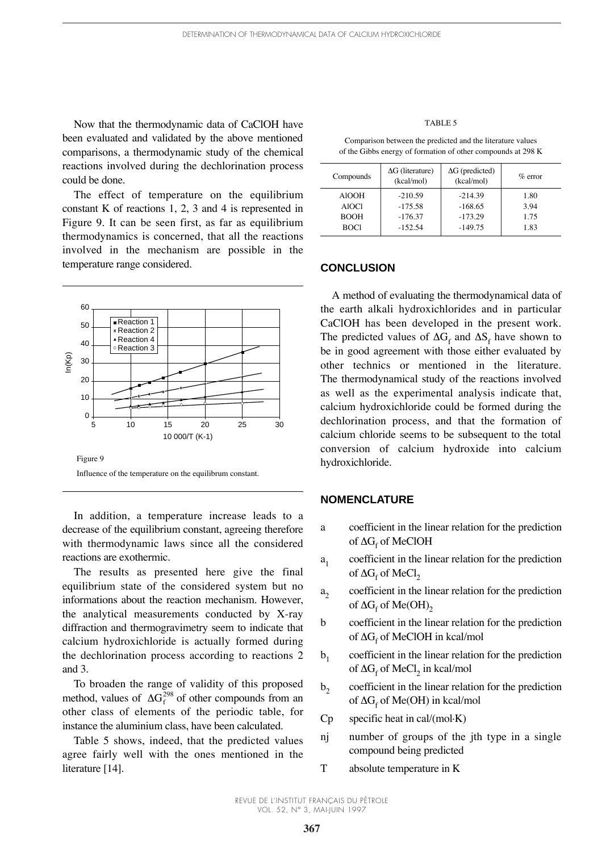Now that the thermodynamic data of CaClOH have been evaluated and validated by the above mentioned comparisons, a thermodynamic study of the chemical reactions involved during the dechlorination process could be done.

The effect of temperature on the equilibrium constant K of reactions 1, 2, 3 and 4 is represented in Figure 9. It can be seen first, as far as equilibrium thermodynamics is concerned, that all the reactions involved in the mechanism are possible in the temperature range considered.



In addition, a temperature increase leads to a decrease of the equilibrium constant, agreeing therefore with thermodynamic laws since all the considered reactions are exothermic.

The results as presented here give the final equilibrium state of the considered system but no informations about the reaction mechanism. However, the analytical measurements conducted by X-ray diffraction and thermogravimetry seem to indicate that calcium hydroxichloride is actually formed during the dechlorination process according to reactions 2 and 3.

To broaden the range of validity of this proposed method, values of  $\Delta G_f^{298}$  of other compounds from an other class of elements of the periodic table, for instance the aluminium class, have been calculated.

Table 5 shows, indeed, that the predicted values agree fairly well with the ones mentioned in the literature [14].

#### TABLE 5

Comparison between the predicted and the literature values of the Gibbs energy of formation of other compounds at 298 K

| Compounds    | $\Delta G$ (literature)<br>(kcal/mol) | $\Delta G$ (predicted)<br>(kcal/mol) | $\%$ error |
|--------------|---------------------------------------|--------------------------------------|------------|
| <b>AIOOH</b> | $-210.59$                             | $-214.39$                            | 1.80       |
| A1OC1        | $-175.58$                             | $-168.65$                            | 3.94       |
| <b>BOOH</b>  | $-176.37$                             | $-173.29$                            | 1.75       |
| BOC1         | $-152.54$                             | $-149.75$                            | 1.83       |

# **CONCLUSION**

A method of evaluating the thermodynamical data of the earth alkali hydroxichlorides and in particular CaClOH has been developed in the present work. The predicted values of  $\Delta G_f$  and  $\Delta S_f$  have shown to be in good agreement with those either evaluated by other technics or mentioned in the literature. The thermodynamical study of the reactions involved as well as the experimental analysis indicate that, calcium hydroxichloride could be formed during the dechlorination process, and that the formation of calcium chloride seems to be subsequent to the total conversion of calcium hydroxide into calcium hydroxichloride.

# **NOMENCLATURE**

- a coefficient in the linear relation for the prediction of  $\Delta G$ <sub>c</sub> of MeClOH
- $a_1$  coefficient in the linear relation for the prediction of  $\Delta G_f$  of MeCl<sub>2</sub>
- $a<sub>2</sub>$  coefficient in the linear relation for the prediction of  $\Delta G_f$  of Me(OH)<sub>2</sub>
- b coefficient in the linear relation for the prediction of  $\Delta G_f$  of MeClOH in kcal/mol
- $b<sub>1</sub>$  coefficient in the linear relation for the prediction of  $\Delta G_f$  of MeCl<sub>2</sub> in kcal/mol
- $b<sub>2</sub>$  coefficient in the linear relation for the prediction of  $\Delta G_f$  of Me(OH) in kcal/mol
- $Cp$  specific heat in cal/(mol $\cdot$ K)
- nj number of groups of the jth type in a single compound being predicted
- T absolute temperature in K